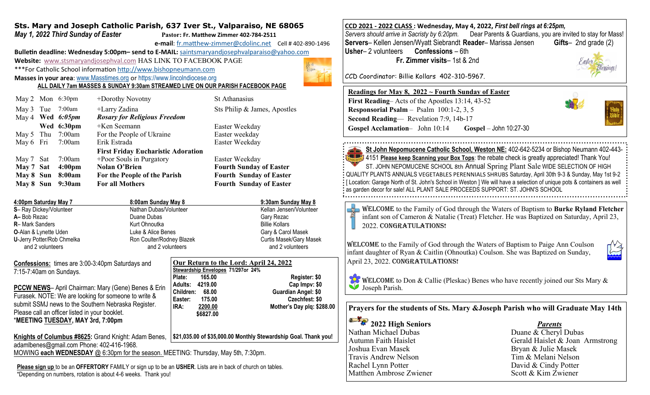## **Sts. Mary and Joseph Catholic Parish, 637 Iver St., Valparaiso, NE 68065** *May 1, 2022 Third Sunday of Easter* **Pastor: Fr. Matthew Zimmer 402-784-2511**

**e-mail**: fr.matthew-[zimmer@cdolinc.net](mailto:fr.matthew-zimmer@cdolinc.net) Cell # 402-890-1496

**Bulletin deadline: Wednesday 5:00pm– send to E-MAIL:** [saintsmaryandjosephvalparaiso@yahoo.com](mailto:saintsmaryandjosephvalparaiso@yahoo.com) **Website:** [www.stsmaryandjosephval.com](http://www.stsmaryandjosephval.com/) HAS LINK TO FACEBOOK PAGE \*\*\*For Catholic School information [http://www.bishopneumann.com](http://www.bishopneuman.com)

**Masses in your area**: [www.Masstimes.org](file:///J:/Users/Sts.%20Mary%20and%20Josep/AppData/Local/Microsoft/Windows/Temporary%20Internet%20Files/Low/Content.IE5/12ZL2H74/www.Masstimes.org) or [https://www.lincolndiocese.org](https://www.lincolndiocese.org/easterrural)

**ALL DAILY 7am MASSES & SUNDAY 9:30am STREAMED LIVE ON OUR PARISH FACEBOOK PAGE**

|           | May 2 Mon 6:30pm   | +Dorothy Novotny                          | <b>St Athanasius</b>           |
|-----------|--------------------|-------------------------------------------|--------------------------------|
|           | May 3 Tue 7:00am   | +Larry Zadina                             | Sts Philip & James, Apostles   |
|           | May 4 Wed $6:05pm$ | <b>Rosary for Religious Freedom</b>       |                                |
|           | Wed 6:30pm         | $+$ Ken Seemann                           | Easter Weekday                 |
|           | May 5 Thu 7:00am   | For the People of Ukraine                 | Easter weekday                 |
| May 6 Fri | 7:00am             | Erik Estrada                              | Easter Weekday                 |
|           |                    | <b>First Friday Eucharistic Adoration</b> |                                |
| May 7 Sat | 7:00am             | +Poor Souls in Purgatory                  | Easter Weekday                 |
| May 7 Sat | 4:00 <sub>pm</sub> | <b>Nolan O'Brien</b>                      | <b>Fourth Sunday of Easter</b> |
| May 8 Sun | 8:00am             | For the People of the Parish              | <b>Fourth Sunday of Easter</b> |
| May 8 Sun | 9:30am             | <b>For all Mothers</b>                    | <b>Fourth Sunday of Easter</b> |
|           |                    |                                           |                                |

**4:00pm Saturday May 7 8:00am Sunday May 8 9:30am Sunday May 8 S**– Ray Dickey/Volunteer Nathan Dubas/Volunteer Nathan Dubas/Volunteer Kellan Jensen/Volunteer **A–** Bob Rezac Duane DubasGary Rezac **R**– Mark Sanders **Kurt Ohnoutka** Billie Kollars Billie Kollars **Kurt Ohnoutka** Billie Kollars **Billie Kollars O**-Alan & Lynette Uden **Luke & Alice Benes** Gary & Carol Masek **U**-Jerry Potter/Rob Chmelka **Ron Coulter/Rodney Blazek Curtis Masek/Gary Masek** Curtis Masek/Gary Masek and 2 volunteers and 2 volunteers and 2 volunteers and 2 volunteers and 2 volunteers

**Confessions:** times are 3:00-3:40pm Saturdays and 7:15-7:40am on Sundays.

**PCCW NEWS**– April Chairman: Mary (Gene) Benes Furasek. NOTE: We are looking for someone to write submit SSMJ news to the Southern Nebraska Register. Please call an officer listed in your booklet. \***MEETING TUESDAY, MAY 3rd, 7:00pm**

adamlbenes@gmail.com Phone: 402-416-1968.

| Alice Benes<br>and 2 volunteers | ulter/Rodney Blazek                                                          | Gary & Carol<br>Curtis Masek/<br>and 2 volu |  |
|---------------------------------|------------------------------------------------------------------------------|---------------------------------------------|--|
| d                               | Our Return to the Lord: April 24, 2022<br>Stewardship Envelopes 71/297or 24% |                                             |  |
|                                 | Plate:<br>165.00                                                             |                                             |  |
|                                 | Adults: 4219.00                                                              | C                                           |  |
| & Erin                          | Children: 68.00                                                              | Guardia                                     |  |
| e &                             | Eactor:<br><b>175 00</b>                                                     |                                             |  |

 **\$6827.00** 

**Cap Impv: \$0 Guardian Angel: \$0. Easter: 175.00 Czechfest: \$0 IRA: 2200.00 Mother's Day plq: \$288.00**

**Register: \$0** 

Knights of Columbus #8625: Grand Knight: Adam Benes, 1\$21,035.00 of \$35,000.00 Monthly Stewardship Goal. Thank you!

MOWING **each WEDNESDAY** @ 6:30pm for the season. MEETING: Thursday, May 5th, 7:30pm.

**Please sign up** to be an **OFFERTORY** FAMILY or sign up to be an **USHER**. Lists are in back of church on tables. \*Depending on numbers, rotation is about 4-6 weeks. Thank you!

**CCD 2021 - 2022 CLASS : Wednesday, May 4, 2022,** *First bell rings at 6:25pm, Servers should arrive in Sacristy by 6:20pm.* Dear Parents & Guardians, you are invited to stay for Mass! **Servers**– Kellen Jensen/Wyatt Siebrandt **Reader**– Marissa Jensen **Usher**– 2 volunteers **Confessions** – 6th **Fr. Zimmer visits**– 1st & 2nd

CCD Coordinator: Billie Kollars 402-310-5967.

## **Readings for May 8, 2022 ~ Fourth Sunday of Easter**

| First Reading–Acts of the Apostles 13:14, 43-52   |                          |  |  |  |  |
|---------------------------------------------------|--------------------------|--|--|--|--|
| <b>Responsorial Psalm</b> – Psalm $100:1-2, 3, 5$ |                          |  |  |  |  |
| <b>Second Reading</b> — Revelation 7:9, 14b-17    |                          |  |  |  |  |
| <b>Gospel Acclamation-</b> John 10:14             | $Gospel - John 10:27-30$ |  |  |  |  |



**St John Nepomucene Catholic School, Weston NE:** 402-642-5234 or Bishop Neumann 402-443-**All 24151 Please keep Scanning your Box Tops**: the rebate check is greatly appreciated! Thank You! ST. JOHN NEPOMUCENE SCHOOL 8th Annual Spring Plant Sale WIDE SELECTION OF HIGH QUALITY PLANTS ANNUALS VEGETABLES PERENNIALS SHRUBS Saturday, April 30th 9-3 & Sunday, May 1st 9-2 [ Location: Garage North of St. John's School in Weston ] We will have a selection of unique pots & containers as well as garden decor for sale! ALL PLANT SALE PROCEEDS SUPPORT: ST. JOHN'S SCHOOL

Welcome to the Family of God through the Waters of Baptism to **Burke Ryland Fletcher**   $\Rightarrow$ infant son of Cameron & Natalie (Treat) Fletcher. He was Baptized on Saturday, April 23, 2022. CONGRATULATIONS!

Welcome to the Family of God through the Waters of Baptism to Paige Ann Coulson infant daughter of Ryan & Caitlin (Ohnoutka) Coulson. She was Baptized on Sunday, April 23, 2022. CONGRATULATIONS!

**WELCOME** to Don & Callie (Pleskac) Benes who have recently joined our Sts Mary & Joseph Parish.

**Prayers for the students of Sts. Mary &Joseph Parish who will Graduate May 14th**

**2022 High Seniors** *Parents* Nathan Michael Dubas Duane & Cheryl Dubas Joshua Evan Masek Bryan & Julie Masek Travis Andrew Nelson<br>
Rachel Lynn Potter
Rachel Lynn Potter
<br>
Rachel Lynn Potter

Tim & Melani Nelson

David & Cindy Potter Matthen Ambrose Zwiener Scott & Kim Zwiener

Autumn Faith Haislet Gerald Haislet & Joan Armstrong David & Cindy Potter